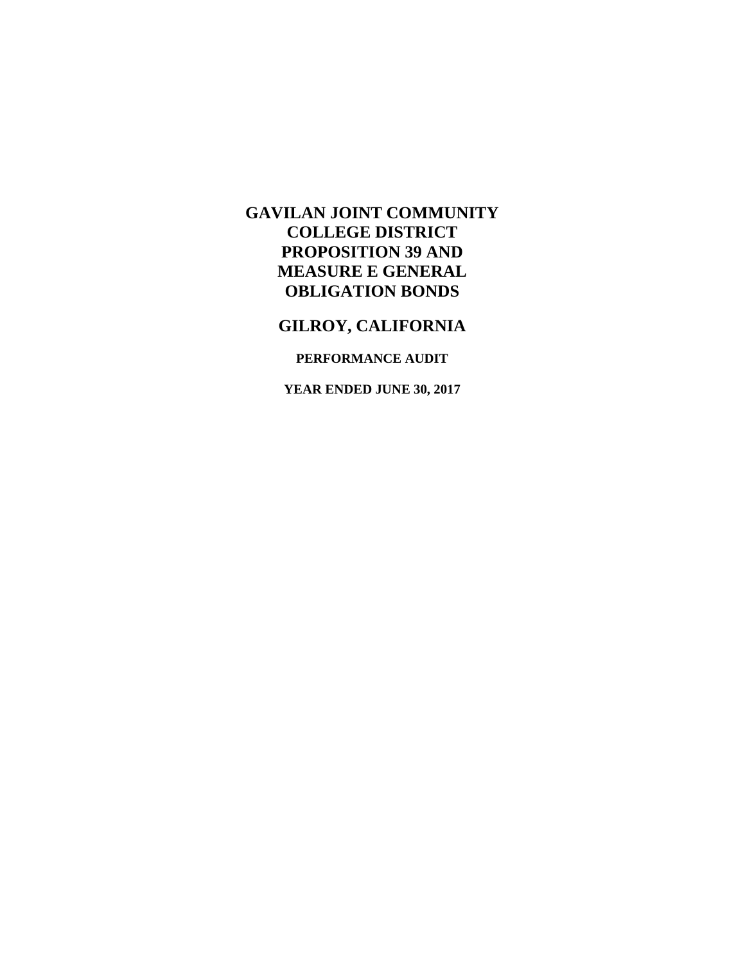# **GILROY, CALIFORNIA**

## **PERFORMANCE AUDIT**

**YEAR ENDED JUNE 30, 2017**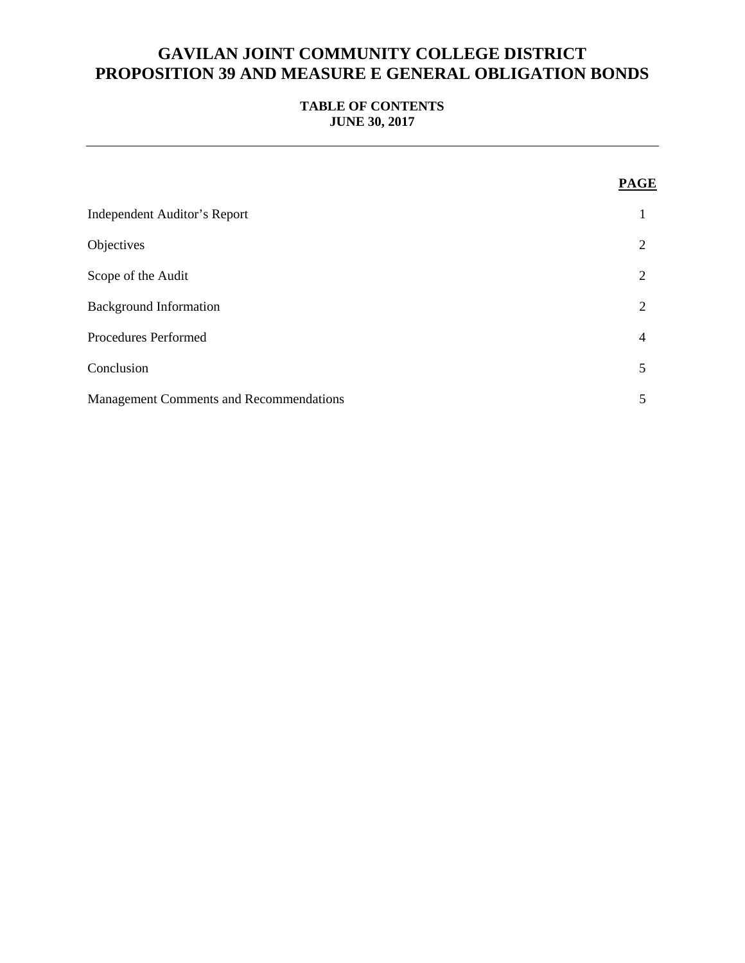## **TABLE OF CONTENTS JUNE 30, 2017**

|                                                | <b>PAGE</b>    |
|------------------------------------------------|----------------|
| <b>Independent Auditor's Report</b>            |                |
| Objectives                                     | $\overline{2}$ |
| Scope of the Audit                             | $\overline{2}$ |
| <b>Background Information</b>                  | $\overline{2}$ |
| <b>Procedures Performed</b>                    | $\overline{4}$ |
| Conclusion                                     | 5              |
| <b>Management Comments and Recommendations</b> | 5              |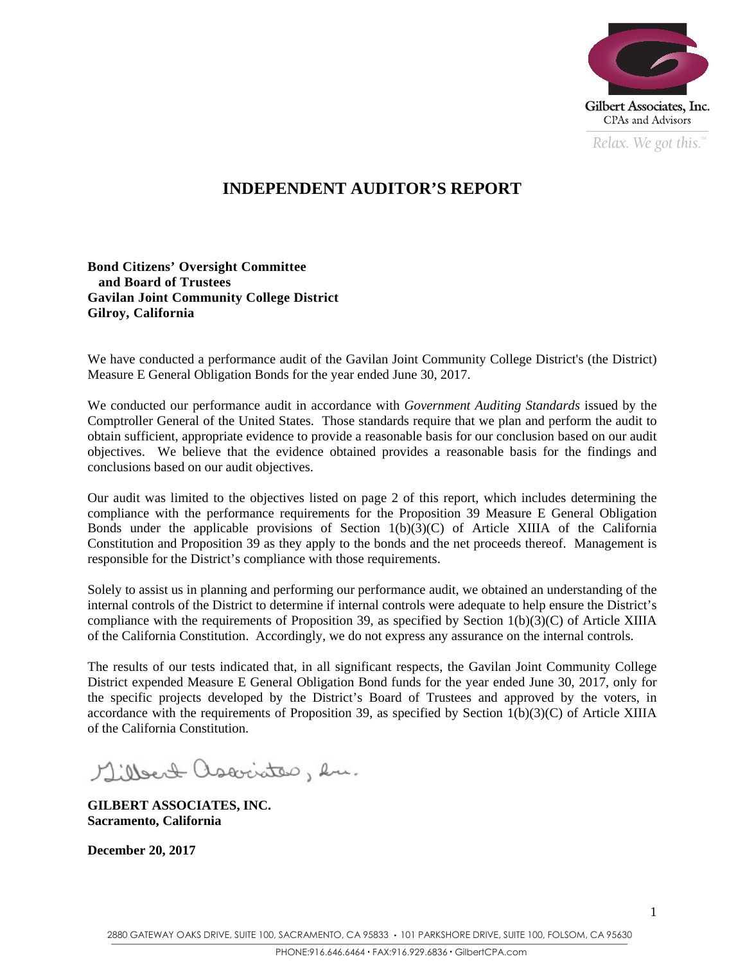

*Relax. We got this.*  $\alpha$ 

## **INDEPENDENT AUDITOR'S REPORT**

## **Bond Citizens' Oversight Committee and Board of Trustees Gavilan Joint Community College District Gilroy, California**

We have conducted a performance audit of the Gavilan Joint Community College District's (the District) Measure E General Obligation Bonds for the year ended June 30, 2017.

We conducted our performance audit in accordance with *Government Auditing Standards* issued by the Comptroller General of the United States. Those standards require that we plan and perform the audit to obtain sufficient, appropriate evidence to provide a reasonable basis for our conclusion based on our audit objectives. We believe that the evidence obtained provides a reasonable basis for the findings and conclusions based on our audit objectives.

Our audit was limited to the objectives listed on page 2 of this report, which includes determining the compliance with the performance requirements for the Proposition 39 Measure E General Obligation Bonds under the applicable provisions of Section  $1(b)(3)(C)$  of Article XIIIA of the California Constitution and Proposition 39 as they apply to the bonds and the net proceeds thereof. Management is responsible for the District's compliance with those requirements.

Solely to assist us in planning and performing our performance audit, we obtained an understanding of the internal controls of the District to determine if internal controls were adequate to help ensure the District's compliance with the requirements of Proposition 39, as specified by Section 1(b)(3)(C) of Article XIIIA of the California Constitution. Accordingly, we do not express any assurance on the internal controls.

The results of our tests indicated that, in all significant respects, the Gavilan Joint Community College District expended Measure E General Obligation Bond funds for the year ended June 30, 2017, only for the specific projects developed by the District's Board of Trustees and approved by the voters, in accordance with the requirements of Proposition 39, as specified by Section  $1(b)(3)(C)$  of Article XIIIA of the California Constitution.

Millert associates, en.

**GILBERT ASSOCIATES, INC. Sacramento, California** 

**December 20, 2017**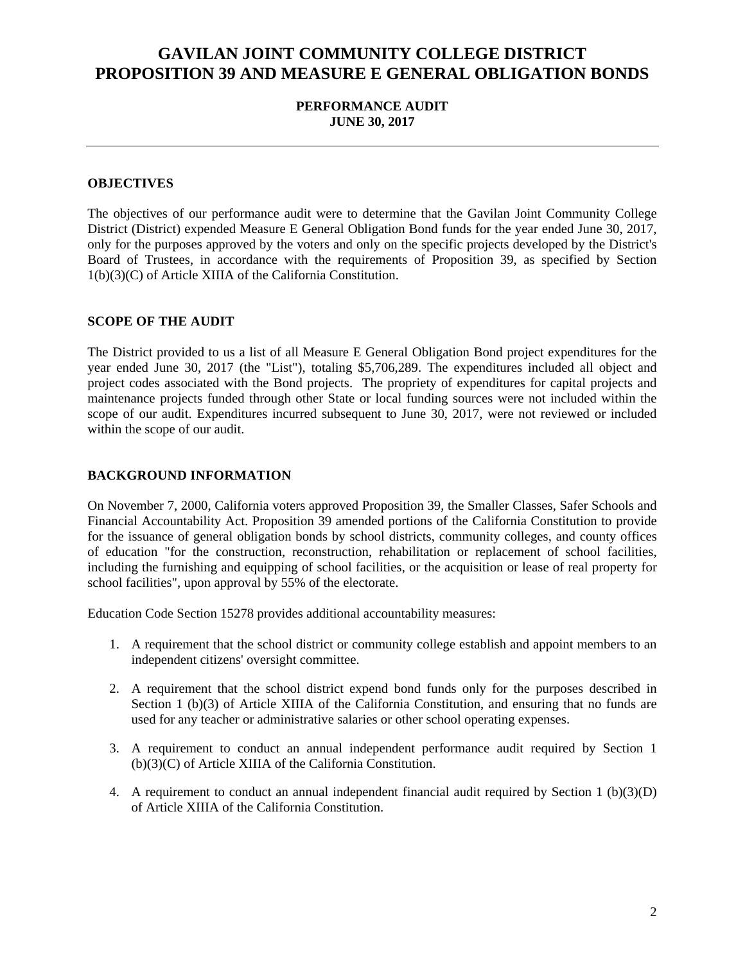## **PERFORMANCE AUDIT JUNE 30, 2017**

### **OBJECTIVES**

The objectives of our performance audit were to determine that the Gavilan Joint Community College District (District) expended Measure E General Obligation Bond funds for the year ended June 30, 2017, only for the purposes approved by the voters and only on the specific projects developed by the District's Board of Trustees, in accordance with the requirements of Proposition 39, as specified by Section 1(b)(3)(C) of Article XIIIA of the California Constitution.

#### **SCOPE OF THE AUDIT**

The District provided to us a list of all Measure E General Obligation Bond project expenditures for the year ended June 30, 2017 (the "List"), totaling \$5,706,289. The expenditures included all object and project codes associated with the Bond projects. The propriety of expenditures for capital projects and maintenance projects funded through other State or local funding sources were not included within the scope of our audit. Expenditures incurred subsequent to June 30, 2017, were not reviewed or included within the scope of our audit.

#### **BACKGROUND INFORMATION**

On November 7, 2000, California voters approved Proposition 39, the Smaller Classes, Safer Schools and Financial Accountability Act. Proposition 39 amended portions of the California Constitution to provide for the issuance of general obligation bonds by school districts, community colleges, and county offices of education "for the construction, reconstruction, rehabilitation or replacement of school facilities, including the furnishing and equipping of school facilities, or the acquisition or lease of real property for school facilities", upon approval by 55% of the electorate.

Education Code Section 15278 provides additional accountability measures:

- 1. A requirement that the school district or community college establish and appoint members to an independent citizens' oversight committee.
- 2. A requirement that the school district expend bond funds only for the purposes described in Section 1 (b)(3) of Article XIIIA of the California Constitution, and ensuring that no funds are used for any teacher or administrative salaries or other school operating expenses.
- 3. A requirement to conduct an annual independent performance audit required by Section 1 (b)(3)(C) of Article XIIIA of the California Constitution.
- 4. A requirement to conduct an annual independent financial audit required by Section 1 (b)(3)(D) of Article XIIIA of the California Constitution.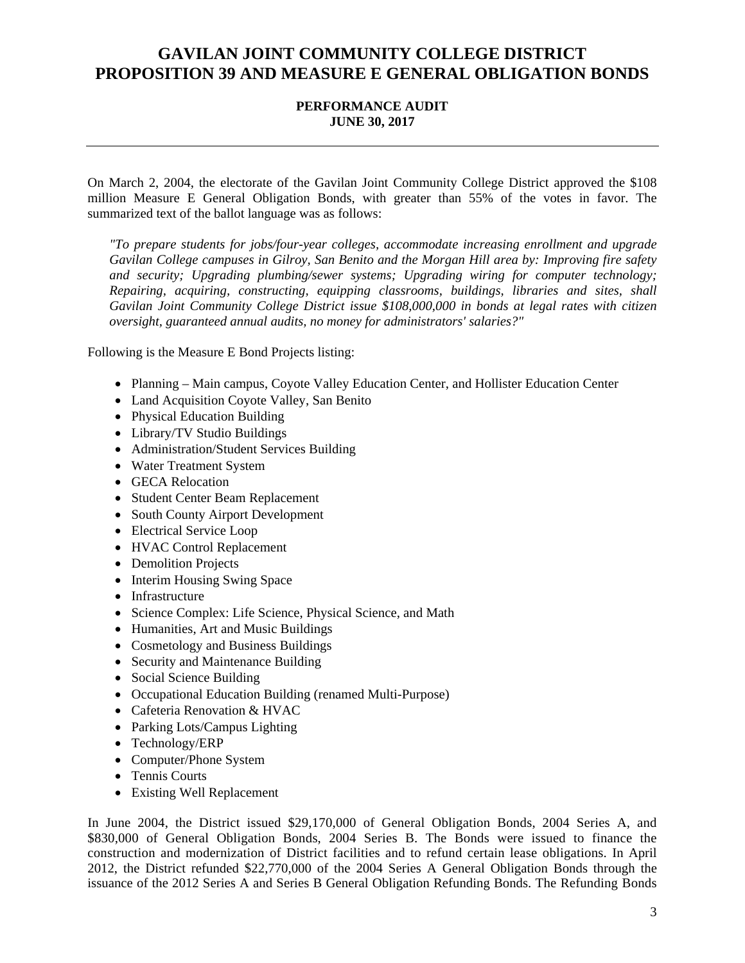### **PERFORMANCE AUDIT JUNE 30, 2017**

On March 2, 2004, the electorate of the Gavilan Joint Community College District approved the \$108 million Measure E General Obligation Bonds, with greater than 55% of the votes in favor. The summarized text of the ballot language was as follows:

*"To prepare students for jobs/four-year colleges, accommodate increasing enrollment and upgrade Gavilan College campuses in Gilroy, San Benito and the Morgan Hill area by: Improving fire safety and security; Upgrading plumbing/sewer systems; Upgrading wiring for computer technology; Repairing, acquiring, constructing, equipping classrooms, buildings, libraries and sites, shall Gavilan Joint Community College District issue \$108,000,000 in bonds at legal rates with citizen oversight, guaranteed annual audits, no money for administrators' salaries?"* 

Following is the Measure E Bond Projects listing:

- Planning Main campus, Coyote Valley Education Center, and Hollister Education Center
- Land Acquisition Coyote Valley, San Benito
- Physical Education Building
- Library/TV Studio Buildings
- Administration/Student Services Building
- Water Treatment System
- GECA Relocation
- Student Center Beam Replacement
- South County Airport Development
- Electrical Service Loop
- HVAC Control Replacement
- Demolition Projects
- Interim Housing Swing Space
- Infrastructure
- Science Complex: Life Science, Physical Science, and Math
- Humanities, Art and Music Buildings
- Cosmetology and Business Buildings
- Security and Maintenance Building
- Social Science Building
- Occupational Education Building (renamed Multi-Purpose)
- Cafeteria Renovation & HVAC
- Parking Lots/Campus Lighting
- Technology/ERP
- Computer/Phone System
- Tennis Courts
- Existing Well Replacement

In June 2004, the District issued \$29,170,000 of General Obligation Bonds, 2004 Series A, and \$830,000 of General Obligation Bonds, 2004 Series B. The Bonds were issued to finance the construction and modernization of District facilities and to refund certain lease obligations. In April 2012, the District refunded \$22,770,000 of the 2004 Series A General Obligation Bonds through the issuance of the 2012 Series A and Series B General Obligation Refunding Bonds. The Refunding Bonds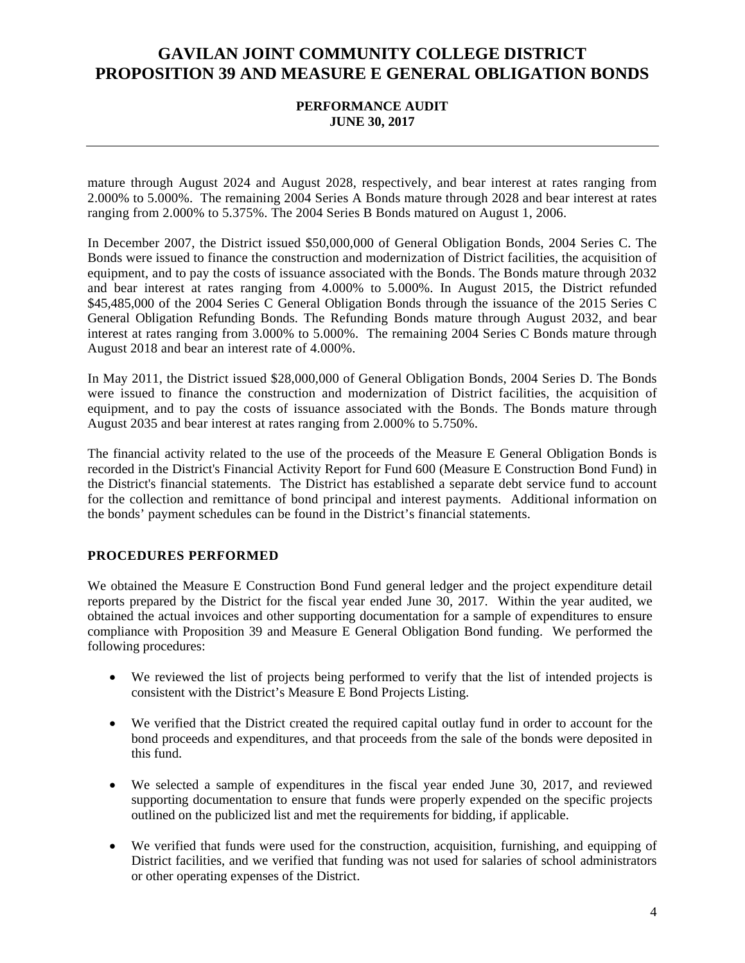### **PERFORMANCE AUDIT JUNE 30, 2017**

mature through August 2024 and August 2028, respectively, and bear interest at rates ranging from 2.000% to 5.000%. The remaining 2004 Series A Bonds mature through 2028 and bear interest at rates ranging from 2.000% to 5.375%. The 2004 Series B Bonds matured on August 1, 2006.

In December 2007, the District issued \$50,000,000 of General Obligation Bonds, 2004 Series C. The Bonds were issued to finance the construction and modernization of District facilities, the acquisition of equipment, and to pay the costs of issuance associated with the Bonds. The Bonds mature through 2032 and bear interest at rates ranging from 4.000% to 5.000%. In August 2015, the District refunded \$45,485,000 of the 2004 Series C General Obligation Bonds through the issuance of the 2015 Series C General Obligation Refunding Bonds. The Refunding Bonds mature through August 2032, and bear interest at rates ranging from 3.000% to 5.000%. The remaining 2004 Series C Bonds mature through August 2018 and bear an interest rate of 4.000%.

In May 2011, the District issued \$28,000,000 of General Obligation Bonds, 2004 Series D. The Bonds were issued to finance the construction and modernization of District facilities, the acquisition of equipment, and to pay the costs of issuance associated with the Bonds. The Bonds mature through August 2035 and bear interest at rates ranging from 2.000% to 5.750%.

The financial activity related to the use of the proceeds of the Measure E General Obligation Bonds is recorded in the District's Financial Activity Report for Fund 600 (Measure E Construction Bond Fund) in the District's financial statements. The District has established a separate debt service fund to account for the collection and remittance of bond principal and interest payments. Additional information on the bonds' payment schedules can be found in the District's financial statements.

### **PROCEDURES PERFORMED**

We obtained the Measure E Construction Bond Fund general ledger and the project expenditure detail reports prepared by the District for the fiscal year ended June 30, 2017. Within the year audited, we obtained the actual invoices and other supporting documentation for a sample of expenditures to ensure compliance with Proposition 39 and Measure E General Obligation Bond funding. We performed the following procedures:

- We reviewed the list of projects being performed to verify that the list of intended projects is consistent with the District's Measure E Bond Projects Listing.
- We verified that the District created the required capital outlay fund in order to account for the bond proceeds and expenditures, and that proceeds from the sale of the bonds were deposited in this fund.
- We selected a sample of expenditures in the fiscal year ended June 30, 2017, and reviewed supporting documentation to ensure that funds were properly expended on the specific projects outlined on the publicized list and met the requirements for bidding, if applicable.
- We verified that funds were used for the construction, acquisition, furnishing, and equipping of District facilities, and we verified that funding was not used for salaries of school administrators or other operating expenses of the District.